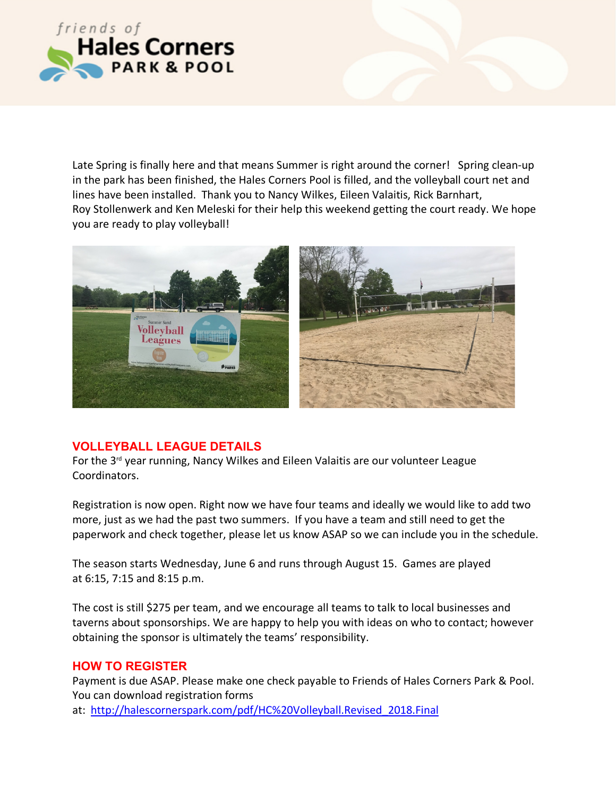

Late Spring is finally here and that means Summer is right around the corner! Spring clean-up in the park has been finished, the Hales Corners Pool is filled, and the volleyball court net and lines have been installed. Thank you to Nancy Wilkes, Eileen Valaitis, Rick Barnhart, Roy Stollenwerk and Ken Meleski for their help this weekend getting the court ready. We hope you are ready to play volleyball!



## **VOLLEYBALL LEAGUE DETAILS**

For the  $3<sup>rd</sup>$  year running, Nancy Wilkes and Eileen Valaitis are our volunteer League Coordinators.

Registration is now open. Right now we have four teams and ideally we would like to add two more, just as we had the past two summers. If you have a team and still need to get the paperwork and check together, please let us know ASAP so we can include you in the schedule.

The season starts Wednesday, June 6 and runs through August 15. Games are played at 6:15, 7:15 and 8:15 p.m.

The cost is still \$275 per team, and we encourage all teams to talk to local businesses and taverns about sponsorships. We are happy to help you with ideas on who to contact; however obtaining the sponsor is ultimately the teams' responsibility.

## **HOW TO REGISTER**

Payment is due ASAP. Please make one check payable to Friends of Hales Corners Park & Pool. You can download registration forms at: http://halescornerspark.com/pdf/HC%20Volleyball.Revised\_2018.Final